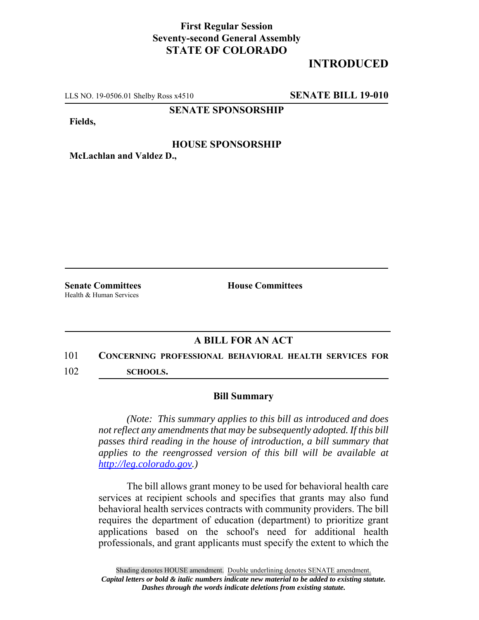## **First Regular Session Seventy-second General Assembly STATE OF COLORADO**

# **INTRODUCED**

LLS NO. 19-0506.01 Shelby Ross x4510 **SENATE BILL 19-010**

**SENATE SPONSORSHIP**

**Fields,**

#### **HOUSE SPONSORSHIP**

**McLachlan and Valdez D.,**

Health & Human Services

**Senate Committees House Committees** 

### **A BILL FOR AN ACT**

# 101 **CONCERNING PROFESSIONAL BEHAVIORAL HEALTH SERVICES FOR**

102 **SCHOOLS.**

#### **Bill Summary**

*(Note: This summary applies to this bill as introduced and does not reflect any amendments that may be subsequently adopted. If this bill passes third reading in the house of introduction, a bill summary that applies to the reengrossed version of this bill will be available at http://leg.colorado.gov.)*

The bill allows grant money to be used for behavioral health care services at recipient schools and specifies that grants may also fund behavioral health services contracts with community providers. The bill requires the department of education (department) to prioritize grant applications based on the school's need for additional health professionals, and grant applicants must specify the extent to which the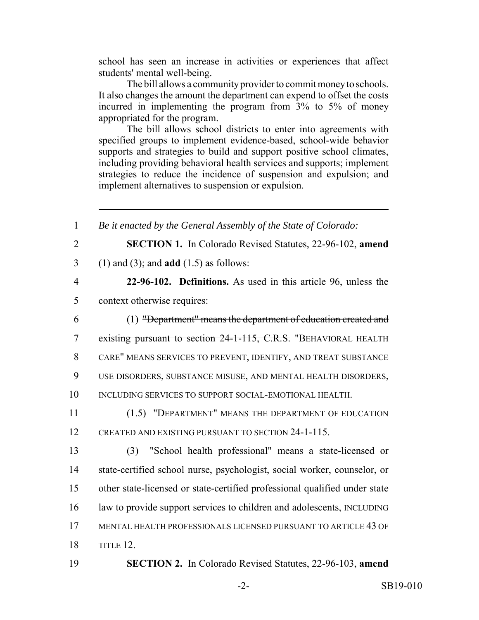school has seen an increase in activities or experiences that affect students' mental well-being.

The bill allows a community provider to commit money to schools. It also changes the amount the department can expend to offset the costs incurred in implementing the program from 3% to 5% of money appropriated for the program.

The bill allows school districts to enter into agreements with specified groups to implement evidence-based, school-wide behavior supports and strategies to build and support positive school climates, including providing behavioral health services and supports; implement strategies to reduce the incidence of suspension and expulsion; and implement alternatives to suspension or expulsion.

| $\mathbf{1}$   | Be it enacted by the General Assembly of the State of Colorado:            |
|----------------|----------------------------------------------------------------------------|
| $\overline{2}$ | SECTION 1. In Colorado Revised Statutes, 22-96-102, amend                  |
| 3              | $(1)$ and $(3)$ ; and <b>add</b> $(1.5)$ as follows:                       |
| $\overline{4}$ | 22-96-102. Definitions. As used in this article 96, unless the             |
| 5              | context otherwise requires:                                                |
| 6              | (1) "Department" means the department of education created and             |
| $\overline{7}$ | existing pursuant to section 24-1-115, C.R.S. "BEHAVIORAL HEALTH           |
| 8              | CARE" MEANS SERVICES TO PREVENT, IDENTIFY, AND TREAT SUBSTANCE             |
| 9              | USE DISORDERS, SUBSTANCE MISUSE, AND MENTAL HEALTH DISORDERS,              |
| 10             | INCLUDING SERVICES TO SUPPORT SOCIAL-EMOTIONAL HEALTH.                     |
| 11             | (1.5) "DEPARTMENT" MEANS THE DEPARTMENT OF EDUCATION                       |
| 12             | CREATED AND EXISTING PURSUANT TO SECTION 24-1-115.                         |
| 13             | "School health professional" means a state-licensed or<br>(3)              |
| 14             | state-certified school nurse, psychologist, social worker, counselor, or   |
| 15             | other state-licensed or state-certified professional qualified under state |
| 16             | law to provide support services to children and adolescents, INCLUDING     |
| 17             | MENTAL HEALTH PROFESSIONALS LICENSED PURSUANT TO ARTICLE 43 OF             |
| 18             | TITLE 12.                                                                  |
| 19             | <b>SECTION 2.</b> In Colorado Revised Statutes, 22-96-103, amend           |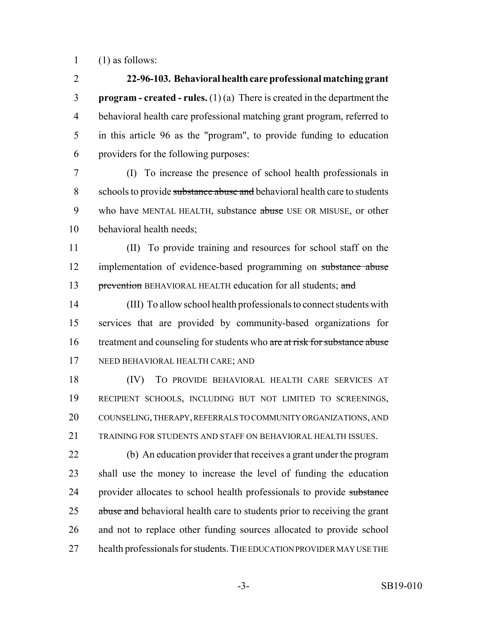(1) as follows:

 **22-96-103. Behavioral health care professional matching grant program - created - rules.** (1) (a) There is created in the department the behavioral health care professional matching grant program, referred to in this article 96 as the "program", to provide funding to education providers for the following purposes:

 (I) To increase the presence of school health professionals in 8 schools to provide substance abuse and behavioral health care to students 9 who have MENTAL HEALTH, substance abuse USE OR MISUSE, or other behavioral health needs;

 (II) To provide training and resources for school staff on the 12 implementation of evidence-based programming on substance abuse 13 prevention BEHAVIORAL HEALTH education for all students; and

 (III) To allow school health professionals to connect students with services that are provided by community-based organizations for 16 treatment and counseling for students who are at risk for substance abuse NEED BEHAVIORAL HEALTH CARE; AND

 (IV) TO PROVIDE BEHAVIORAL HEALTH CARE SERVICES AT RECIPIENT SCHOOLS, INCLUDING BUT NOT LIMITED TO SCREENINGS, COUNSELING, THERAPY, REFERRALS TO COMMUNITY ORGANIZATIONS, AND TRAINING FOR STUDENTS AND STAFF ON BEHAVIORAL HEALTH ISSUES.

 (b) An education provider that receives a grant under the program shall use the money to increase the level of funding the education 24 provider allocates to school health professionals to provide substance 25 abuse and behavioral health care to students prior to receiving the grant and not to replace other funding sources allocated to provide school 27 health professionals for students. THE EDUCATION PROVIDER MAY USE THE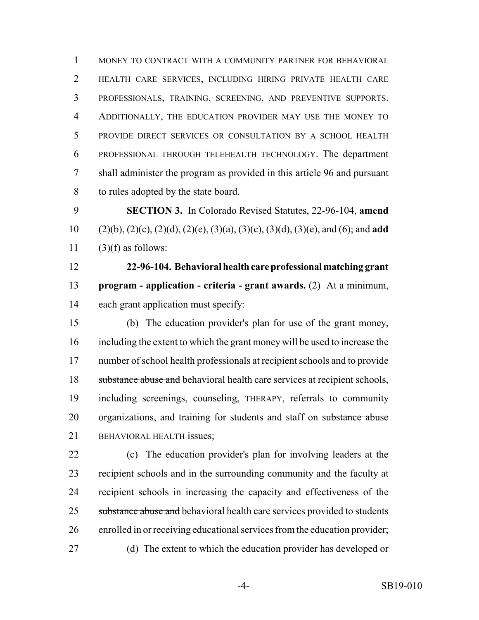MONEY TO CONTRACT WITH A COMMUNITY PARTNER FOR BEHAVIORAL HEALTH CARE SERVICES, INCLUDING HIRING PRIVATE HEALTH CARE PROFESSIONALS, TRAINING, SCREENING, AND PREVENTIVE SUPPORTS. ADDITIONALLY, THE EDUCATION PROVIDER MAY USE THE MONEY TO PROVIDE DIRECT SERVICES OR CONSULTATION BY A SCHOOL HEALTH PROFESSIONAL THROUGH TELEHEALTH TECHNOLOGY. The department shall administer the program as provided in this article 96 and pursuant to rules adopted by the state board.

 **SECTION 3.** In Colorado Revised Statutes, 22-96-104, **amend** (2)(b), (2)(c), (2)(d), (2)(e), (3)(a), (3)(c), (3)(d), (3)(e), and (6); and **add** 11  $(3)(f)$  as follows:

 **22-96-104. Behavioral health care professional matching grant program - application - criteria - grant awards.** (2) At a minimum, each grant application must specify:

 (b) The education provider's plan for use of the grant money, including the extent to which the grant money will be used to increase the number of school health professionals at recipient schools and to provide 18 substance abuse and behavioral health care services at recipient schools, including screenings, counseling, THERAPY, referrals to community 20 organizations, and training for students and staff on substance abuse BEHAVIORAL HEALTH issues;

 (c) The education provider's plan for involving leaders at the recipient schools and in the surrounding community and the faculty at recipient schools in increasing the capacity and effectiveness of the 25 substance abuse and behavioral health care services provided to students enrolled in or receiving educational services from the education provider; (d) The extent to which the education provider has developed or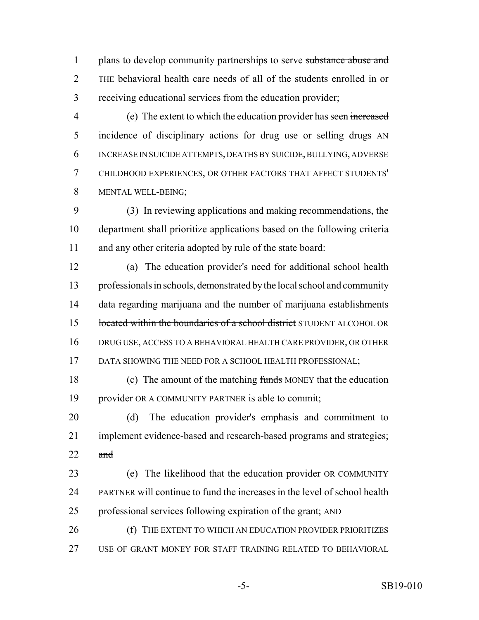1 plans to develop community partnerships to serve substance abuse and THE behavioral health care needs of all of the students enrolled in or receiving educational services from the education provider;

 (e) The extent to which the education provider has seen increased 5 incidence of disciplinary actions for drug use or selling drugs AN INCREASE IN SUICIDE ATTEMPTS, DEATHS BY SUICIDE, BULLYING, ADVERSE CHILDHOOD EXPERIENCES, OR OTHER FACTORS THAT AFFECT STUDENTS' MENTAL WELL-BEING;

 (3) In reviewing applications and making recommendations, the department shall prioritize applications based on the following criteria and any other criteria adopted by rule of the state board:

 (a) The education provider's need for additional school health professionals in schools, demonstrated by the local school and community 14 data regarding marijuana and the number of marijuana establishments 15 located within the boundaries of a school district STUDENT ALCOHOL OR DRUG USE, ACCESS TO A BEHAVIORAL HEALTH CARE PROVIDER, OR OTHER 17 DATA SHOWING THE NEED FOR A SCHOOL HEALTH PROFESSIONAL;

 (c) The amount of the matching funds MONEY that the education provider OR A COMMUNITY PARTNER is able to commit;

 (d) The education provider's emphasis and commitment to implement evidence-based and research-based programs and strategies; 22  $\alpha$ nd

 (e) The likelihood that the education provider OR COMMUNITY PARTNER will continue to fund the increases in the level of school health professional services following expiration of the grant; AND

**(f)** THE EXTENT TO WHICH AN EDUCATION PROVIDER PRIORITIZES USE OF GRANT MONEY FOR STAFF TRAINING RELATED TO BEHAVIORAL